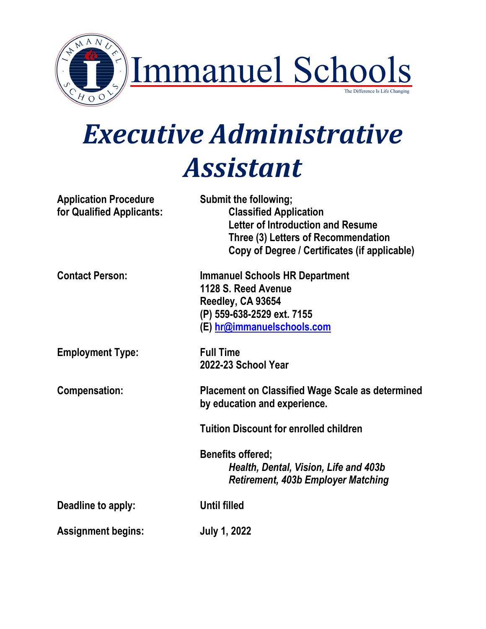

# *Executive Administrative Assistant*

| <b>Application Procedure</b><br>for Qualified Applicants: | Submit the following;<br><b>Classified Application</b><br><b>Letter of Introduction and Resume</b><br>Three (3) Letters of Recommendation<br>Copy of Degree / Certificates (if applicable) |
|-----------------------------------------------------------|--------------------------------------------------------------------------------------------------------------------------------------------------------------------------------------------|
| <b>Contact Person:</b>                                    | <b>Immanuel Schools HR Department</b><br>1128 S. Reed Avenue<br>Reedley, CA 93654<br>(P) 559-638-2529 ext. 7155<br>(E) hr@immanuelschools.com                                              |
| <b>Employment Type:</b>                                   | <b>Full Time</b><br>2022-23 School Year                                                                                                                                                    |
| <b>Compensation:</b>                                      | <b>Placement on Classified Wage Scale as determined</b><br>by education and experience.                                                                                                    |
|                                                           | <b>Tuition Discount for enrolled children</b>                                                                                                                                              |
|                                                           | <b>Benefits offered;</b><br>Health, Dental, Vision, Life and 403b<br>Retirement, 403b Employer Matching                                                                                    |
| Deadline to apply:                                        | <b>Until filled</b>                                                                                                                                                                        |
| <b>Assignment begins:</b>                                 | <b>July 1, 2022</b>                                                                                                                                                                        |